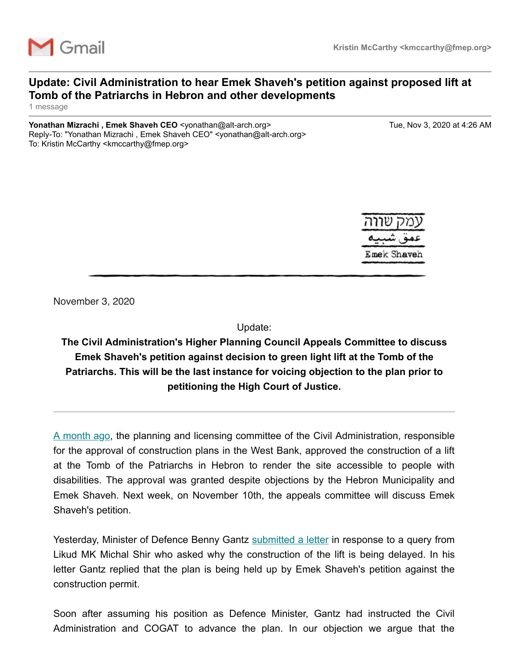

## **Update: Civil Administration to hear Emek Shaveh's petition against proposed lift at Tomb of the Patriarchs in Hebron and other developments**

1 message

**Yonathan Mizrachi , Emek Shaveh CEO** <yonathan@alt-arch.org> Tue, Nov 3, 2020 at 4:26 AM Reply-To: "Yonathan Mizrachi , Emek Shaveh CEO" <yonathan@alt-arch.org> To: Kristin McCarthy <kmccarthy@fmep.org>



November 3, 2020

Update:

**The Civil Administration's Higher Planning Council Appeals Committee to discuss Emek Shaveh's petition against decision to green light lift at the Tomb of the Patriarchs. This will be the last instance for voicing objection to the plan prior to petitioning the High Court of Justice.**

[A month ago,](https://alt-arch.us7.list-manage.com/track/click?u=5d2f3197e807c1f65d8a4aafc&id=729a388fdc&e=e119f32371) the planning and licensing committee of the Civil Administration, responsible for the approval of construction plans in the West Bank, approved the construction of a lift at the Tomb of the Patriarchs in Hebron to render the site accessible to people with disabilities. The approval was granted despite objections by the Hebron Municipality and Emek Shaveh. Next week, on November 10th, the appeals committee will discuss Emek Shaveh's petition.

Yesterday, Minister of Defence Benny Gantz [submitted a letter](https://alt-arch.us7.list-manage.com/track/click?u=5d2f3197e807c1f65d8a4aafc&id=87b3dbe914&e=e119f32371) in response to a query from Likud MK Michal Shir who asked why the construction of the lift is being delayed. In his letter Gantz replied that the plan is being held up by Emek Shaveh's petition against the construction permit.

Soon after assuming his position as Defence Minister, Gantz had instructed the Civil Administration and COGAT to advance the plan. In our objection we argue that the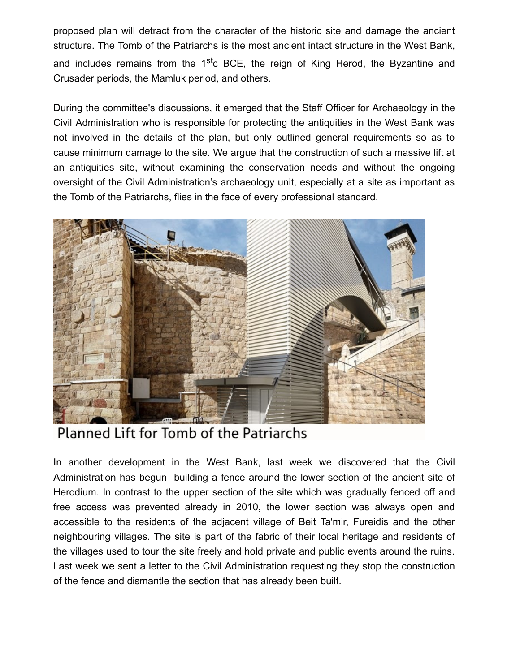proposed plan will detract from the character of the historic site and damage the ancient structure. The Tomb of the Patriarchs is the most ancient intact structure in the West Bank, and includes remains from the 1<sup>st</sup>c BCE, the reign of King Herod, the Byzantine and Crusader periods, the Mamluk period, and others.

During the committee's discussions, it emerged that the Staff Officer for Archaeology in the Civil Administration who is responsible for protecting the antiquities in the West Bank was not involved in the details of the plan, but only outlined general requirements so as to cause minimum damage to the site. We argue that the construction of such a massive lift at an antiquities site, without examining the conservation needs and without the ongoing oversight of the Civil Administration's archaeology unit, especially at a site as important as the Tomb of the Patriarchs, flies in the face of every professional standard.



Planned Lift for Tomb of the Patriarchs

In another development in the West Bank, last week we discovered that the Civil Administration has begun building a fence around the lower section of the ancient site of Herodium. In contrast to the upper section of the site which was gradually fenced off and free access was prevented already in 2010, the lower section was always open and accessible to the residents of the adjacent village of Beit Ta'mir, Fureidis and the other neighbouring villages. The site is part of the fabric of their local heritage and residents of the villages used to tour the site freely and hold private and public events around the ruins. Last week we sent a letter to the Civil Administration requesting they stop the construction of the fence and dismantle the section that has already been built.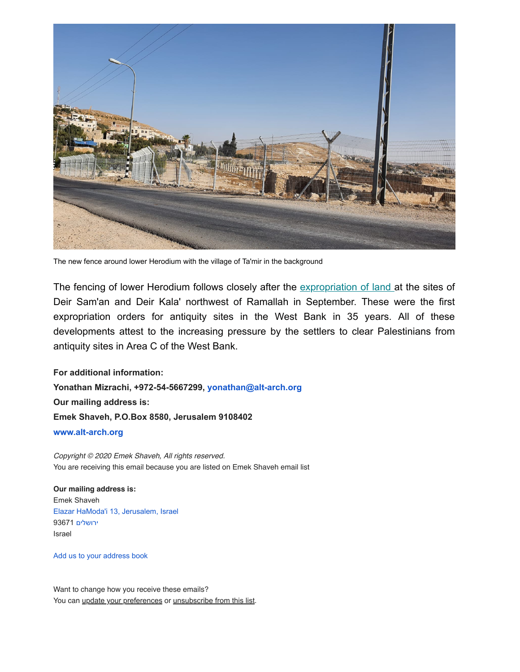

The new fence around lower Herodium with the village of Ta'mir in the background

The fencing of lower Herodium follows closely after the [expropriation of land a](https://alt-arch.us7.list-manage.com/track/click?u=5d2f3197e807c1f65d8a4aafc&id=e809ddaf1c&e=e119f32371)t the sites of Deir Sam'an and Deir Kala' northwest of Ramallah in September. These were the first expropriation orders for antiquity sites in the West Bank in 35 years. All of these developments attest to the increasing pressure by the settlers to clear Palestinians from antiquity sites in Area C of the West Bank.

**For additional information: Yonathan Mizrachi, +972-54-5667299, [yonathan@alt-arch.org](mailto:yonathan@alt-arch.org) Our mailing address is: Emek Shaveh, P.O.Box 8580, Jerusalem 9108402 [www.alt-arch.org](http://www.alt-arch.org/)**

*Copyright © 2020 Emek Shaveh, All rights reserved.* You are receiving this email because you are listed on Emek Shaveh email list

## **Our mailing address is:** Emek Shaveh [Elazar HaModa'i 13, Jerusalem, Israel](https://www.google.com/maps/search/Elazar+HaModa) [ירושלים](https://www.google.com/maps/search/Elazar+HaModa) 93671 Israel

[Add us to your address book](https://alt-arch.us7.list-manage.com/vcard?u=5d2f3197e807c1f65d8a4aafc&id=8201ad23c6)

Want to change how you receive these emails? You can [update your preferences](https://alt-arch.us7.list-manage.com/profile?u=5d2f3197e807c1f65d8a4aafc&id=8201ad23c6&e=e119f32371) or [unsubscribe from this list](https://alt-arch.us7.list-manage.com/unsubscribe?u=5d2f3197e807c1f65d8a4aafc&id=8201ad23c6&e=e119f32371&c=327bbc7b68).